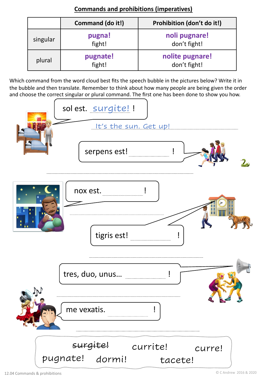|          | Command (do it!)   | Prohibition (don't do it!)      |
|----------|--------------------|---------------------------------|
| singular | pugna!<br>fight!   | noli pugnare!<br>don't fight!   |
| plural   | pugnate!<br>fight! | nolite pugnare!<br>don't fight! |

**Commands and prohibitions (imperatives)**

Which command from the word cloud best fits the speech bubble in the pictures below? Write it in the bubble and then translate. Remember to think about how many people are being given the order and choose the correct singular or plural command. The first one has been done to show you how.